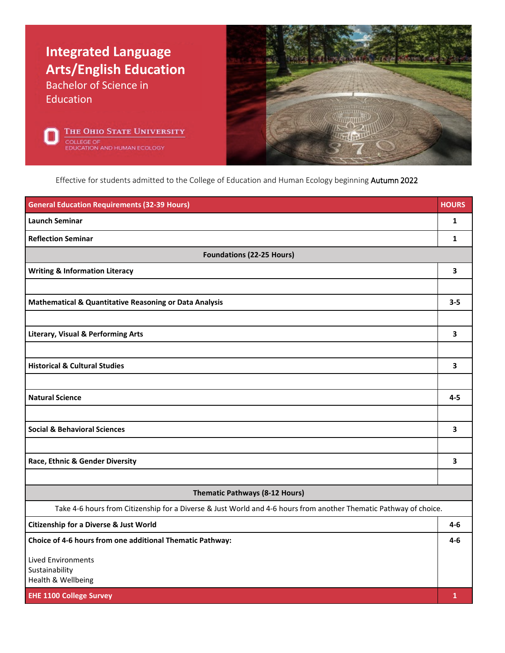





Effective for students admitted to the College of Education and Human Ecology beginning Autumn 2022

| <b>General Education Requirements (32-39 Hours)</b>                                                               | <b>HOURS</b> |  |
|-------------------------------------------------------------------------------------------------------------------|--------------|--|
| <b>Launch Seminar</b>                                                                                             | 1            |  |
| <b>Reflection Seminar</b>                                                                                         | 1            |  |
| <b>Foundations (22-25 Hours)</b>                                                                                  |              |  |
| <b>Writing &amp; Information Literacy</b>                                                                         | 3            |  |
|                                                                                                                   |              |  |
| <b>Mathematical &amp; Quantitative Reasoning or Data Analysis</b>                                                 | $3 - 5$      |  |
|                                                                                                                   |              |  |
| <b>Literary, Visual &amp; Performing Arts</b>                                                                     | 3            |  |
|                                                                                                                   |              |  |
| <b>Historical &amp; Cultural Studies</b>                                                                          | 3            |  |
|                                                                                                                   |              |  |
| <b>Natural Science</b>                                                                                            | $4 - 5$      |  |
|                                                                                                                   |              |  |
| <b>Social &amp; Behavioral Sciences</b>                                                                           | 3            |  |
|                                                                                                                   |              |  |
| Race, Ethnic & Gender Diversity                                                                                   | 3            |  |
|                                                                                                                   |              |  |
| Thematic Pathways (8-12 Hours)                                                                                    |              |  |
| Take 4-6 hours from Citizenship for a Diverse & Just World and 4-6 hours from another Thematic Pathway of choice. |              |  |
| <b>Citizenship for a Diverse &amp; Just World</b>                                                                 | 4-6          |  |
| Choice of 4-6 hours from one additional Thematic Pathway:                                                         | 4-6          |  |
| Lived Environments                                                                                                |              |  |
| Sustainability<br>Health & Wellbeing                                                                              |              |  |
| <b>EHE 1100 College Survey</b>                                                                                    | $\mathbf{1}$ |  |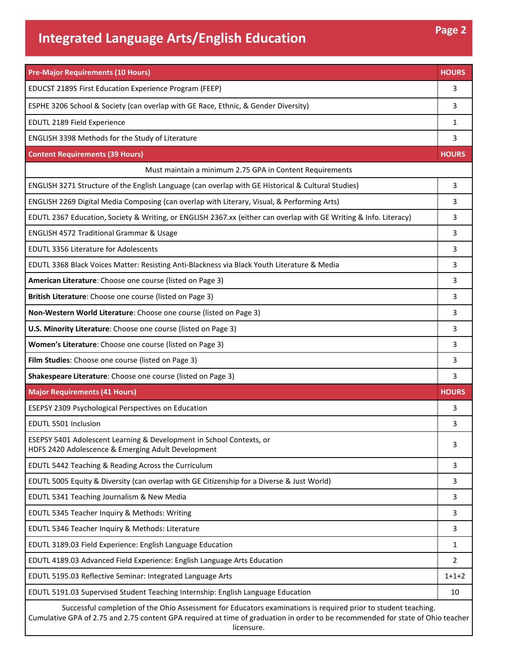## **Integrated Language Arts/English Education Page 2**

| <b>Pre-Major Requirements (10 Hours)</b>                                                                                   | <b>HOURS</b> |
|----------------------------------------------------------------------------------------------------------------------------|--------------|
| EDUCST 2189S First Education Experience Program (FEEP)                                                                     | 3            |
| ESPHE 3206 School & Society (can overlap with GE Race, Ethnic, & Gender Diversity)                                         | 3            |
| EDUTL 2189 Field Experience                                                                                                | 1            |
| ENGLISH 3398 Methods for the Study of Literature                                                                           | 3            |
| <b>Content Requirements (39 Hours)</b>                                                                                     | <b>HOURS</b> |
| Must maintain a minimum 2.75 GPA in Content Requirements                                                                   |              |
| ENGLISH 3271 Structure of the English Language (can overlap with GE Historical & Cultural Studies)                         | 3            |
| ENGLISH 2269 Digital Media Composing (can overlap with Literary, Visual, & Performing Arts)                                | 3            |
| EDUTL 2367 Education, Society & Writing, or ENGLISH 2367.xx (either can overlap with GE Writing & Info. Literacy)          | 3            |
| ENGLISH 4572 Traditional Grammar & Usage                                                                                   | 3            |
| <b>EDUTL 3356 Literature for Adolescents</b>                                                                               | 3            |
| EDUTL 3368 Black Voices Matter: Resisting Anti-Blackness via Black Youth Literature & Media                                | 3            |
| American Literature: Choose one course (listed on Page 3)                                                                  | 3            |
| British Literature: Choose one course (listed on Page 3)                                                                   | 3            |
| Non-Western World Literature: Choose one course (listed on Page 3)                                                         | 3            |
| U.S. Minority Literature: Choose one course (listed on Page 3)                                                             | 3            |
| Women's Literature: Choose one course (listed on Page 3)                                                                   | 3            |
| Film Studies: Choose one course (listed on Page 3)                                                                         | 3            |
| Shakespeare Literature: Choose one course (listed on Page 3)                                                               | 3            |
| <b>Major Requirements (41 Hours)</b>                                                                                       | <b>HOURS</b> |
| <b>ESEPSY 2309 Psychological Perspectives on Education</b>                                                                 | 3            |
| EDUTL 5501 Inclusion                                                                                                       | 3            |
| ESEPSY 5401 Adolescent Learning & Development in School Contexts, or<br>HDFS 2420 Adolescence & Emerging Adult Development | 3            |
| EDUTL 5442 Teaching & Reading Across the Curriculum                                                                        | 3            |
| EDUTL 5005 Equity & Diversity (can overlap with GE Citizenship for a Diverse & Just World)                                 | 3            |
| EDUTL 5341 Teaching Journalism & New Media                                                                                 | 3            |
| EDUTL 5345 Teacher Inquiry & Methods: Writing                                                                              | 3            |
| EDUTL 5346 Teacher Inquiry & Methods: Literature                                                                           | 3            |
| EDUTL 3189.03 Field Experience: English Language Education                                                                 | 1            |
| EDUTL 4189.03 Advanced Field Experience: English Language Arts Education                                                   | 2            |
| EDUTL 5195.03 Reflective Seminar: Integrated Language Arts                                                                 | $1+1+2$      |
| EDUTL 5191.03 Supervised Student Teaching Internship: English Language Education                                           | 10           |
| Successful completion of the Ohio Assessment for Educators examinations is required prior to student teaching.             |              |

Cumulative GPA of 2.75 and 2.75 content GPA required at time of graduation in order to be recommended for state of Ohio teacher licensure.